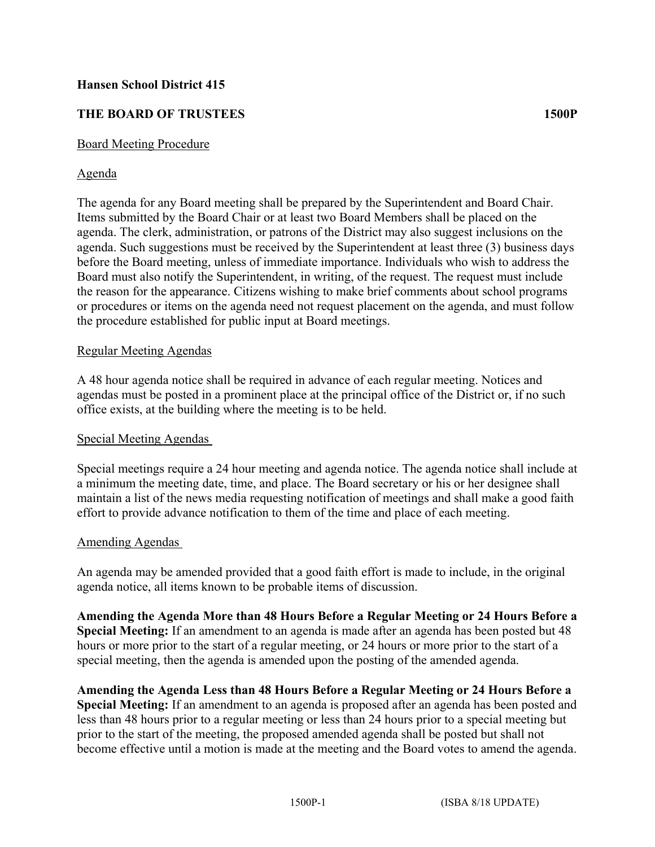## **Hansen School District 415**

# **THE BOARD OF TRUSTEES 1500P**

### Board Meeting Procedure

### Agenda

The agenda for any Board meeting shall be prepared by the Superintendent and Board Chair. Items submitted by the Board Chair or at least two Board Members shall be placed on the agenda. The clerk, administration, or patrons of the District may also suggest inclusions on the agenda. Such suggestions must be received by the Superintendent at least three (3) business days before the Board meeting, unless of immediate importance. Individuals who wish to address the Board must also notify the Superintendent, in writing, of the request. The request must include the reason for the appearance. Citizens wishing to make brief comments about school programs or procedures or items on the agenda need not request placement on the agenda, and must follow the procedure established for public input at Board meetings.

### Regular Meeting Agendas

A 48 hour agenda notice shall be required in advance of each regular meeting. Notices and agendas must be posted in a prominent place at the principal office of the District or, if no such office exists, at the building where the meeting is to be held.

### Special Meeting Agendas

Special meetings require a 24 hour meeting and agenda notice. The agenda notice shall include at a minimum the meeting date, time, and place. The Board secretary or his or her designee shall maintain a list of the news media requesting notification of meetings and shall make a good faith effort to provide advance notification to them of the time and place of each meeting.

### Amending Agendas

An agenda may be amended provided that a good faith effort is made to include, in the original agenda notice, all items known to be probable items of discussion.

**Amending the Agenda More than 48 Hours Before a Regular Meeting or 24 Hours Before a Special Meeting:** If an amendment to an agenda is made after an agenda has been posted but 48 hours or more prior to the start of a regular meeting, or 24 hours or more prior to the start of a special meeting, then the agenda is amended upon the posting of the amended agenda.

**Amending the Agenda Less than 48 Hours Before a Regular Meeting or 24 Hours Before a Special Meeting:** If an amendment to an agenda is proposed after an agenda has been posted and less than 48 hours prior to a regular meeting or less than 24 hours prior to a special meeting but prior to the start of the meeting, the proposed amended agenda shall be posted but shall not become effective until a motion is made at the meeting and the Board votes to amend the agenda.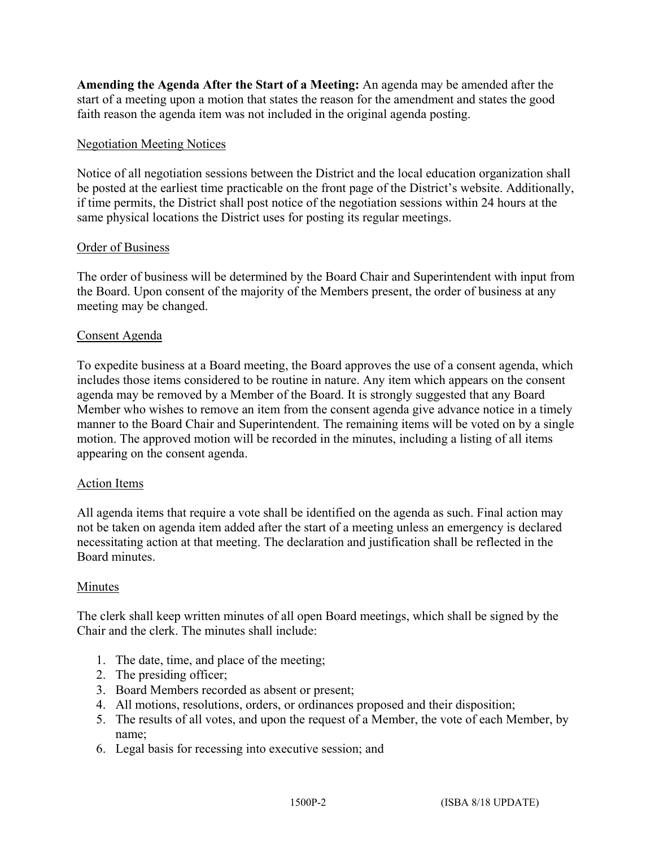**Amending the Agenda After the Start of a Meeting:** An agenda may be amended after the start of a meeting upon a motion that states the reason for the amendment and states the good faith reason the agenda item was not included in the original agenda posting.

## Negotiation Meeting Notices

Notice of all negotiation sessions between the District and the local education organization shall be posted at the earliest time practicable on the front page of the District's website. Additionally, if time permits, the District shall post notice of the negotiation sessions within 24 hours at the same physical locations the District uses for posting its regular meetings.

## Order of Business

The order of business will be determined by the Board Chair and Superintendent with input from the Board. Upon consent of the majority of the Members present, the order of business at any meeting may be changed.

## Consent Agenda

To expedite business at a Board meeting, the Board approves the use of a consent agenda, which includes those items considered to be routine in nature. Any item which appears on the consent agenda may be removed by a Member of the Board. It is strongly suggested that any Board Member who wishes to remove an item from the consent agenda give advance notice in a timely manner to the Board Chair and Superintendent. The remaining items will be voted on by a single motion. The approved motion will be recorded in the minutes, including a listing of all items appearing on the consent agenda.

### Action Items

All agenda items that require a vote shall be identified on the agenda as such. Final action may not be taken on agenda item added after the start of a meeting unless an emergency is declared necessitating action at that meeting. The declaration and justification shall be reflected in the Board minutes.

### Minutes

The clerk shall keep written minutes of all open Board meetings, which shall be signed by the Chair and the clerk. The minutes shall include:

- 1. The date, time, and place of the meeting;
- 2. The presiding officer;
- 3. Board Members recorded as absent or present;
- 4. All motions, resolutions, orders, or ordinances proposed and their disposition;
- 5. The results of all votes, and upon the request of a Member, the vote of each Member, by name;
- 6. Legal basis for recessing into executive session; and